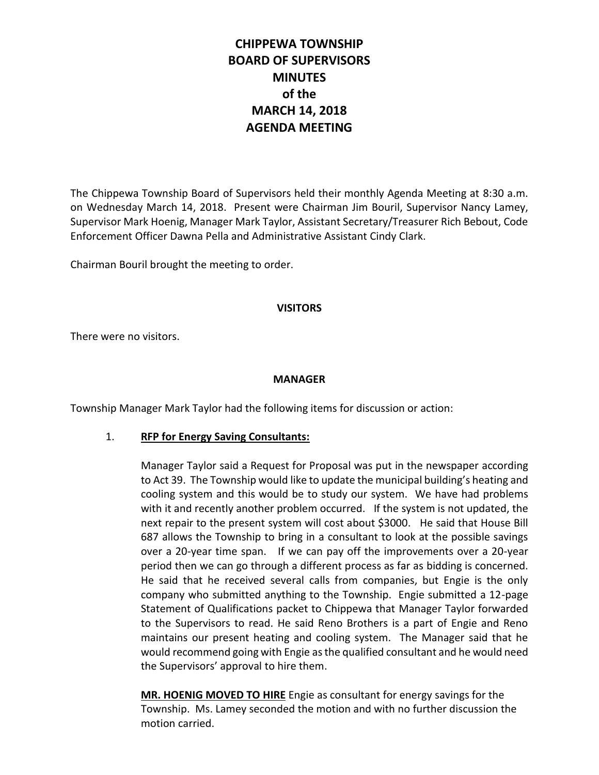# **CHIPPEWA TOWNSHIP BOARD OF SUPERVISORS MINUTES of the MARCH 14, 2018 AGENDA MEETING**

The Chippewa Township Board of Supervisors held their monthly Agenda Meeting at 8:30 a.m. on Wednesday March 14, 2018. Present were Chairman Jim Bouril, Supervisor Nancy Lamey, Supervisor Mark Hoenig, Manager Mark Taylor, Assistant Secretary/Treasurer Rich Bebout, Code Enforcement Officer Dawna Pella and Administrative Assistant Cindy Clark.

Chairman Bouril brought the meeting to order.

## **VISITORS**

There were no visitors.

#### **MANAGER**

Township Manager Mark Taylor had the following items for discussion or action:

## 1. **RFP for Energy Saving Consultants:**

Manager Taylor said a Request for Proposal was put in the newspaper according to Act 39. The Township would like to update the municipal building's heating and cooling system and this would be to study our system. We have had problems with it and recently another problem occurred. If the system is not updated, the next repair to the present system will cost about \$3000. He said that House Bill 687 allows the Township to bring in a consultant to look at the possible savings over a 20-year time span. If we can pay off the improvements over a 20-year period then we can go through a different process as far as bidding is concerned. He said that he received several calls from companies, but Engie is the only company who submitted anything to the Township. Engie submitted a 12-page Statement of Qualifications packet to Chippewa that Manager Taylor forwarded to the Supervisors to read. He said Reno Brothers is a part of Engie and Reno maintains our present heating and cooling system. The Manager said that he would recommend going with Engie as the qualified consultant and he would need the Supervisors' approval to hire them.

**MR. HOENIG MOVED TO HIRE** Engie as consultant for energy savings for the Township. Ms. Lamey seconded the motion and with no further discussion the motion carried.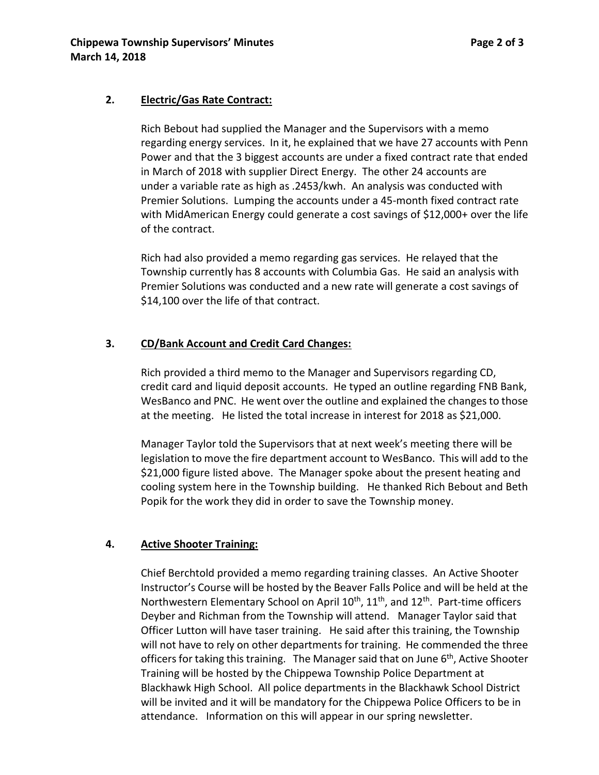## **2. Electric/Gas Rate Contract:**

Rich Bebout had supplied the Manager and the Supervisors with a memo regarding energy services. In it, he explained that we have 27 accounts with Penn Power and that the 3 biggest accounts are under a fixed contract rate that ended in March of 2018 with supplier Direct Energy. The other 24 accounts are under a variable rate as high as .2453/kwh. An analysis was conducted with Premier Solutions. Lumping the accounts under a 45-month fixed contract rate with MidAmerican Energy could generate a cost savings of \$12,000+ over the life of the contract.

Rich had also provided a memo regarding gas services. He relayed that the Township currently has 8 accounts with Columbia Gas. He said an analysis with Premier Solutions was conducted and a new rate will generate a cost savings of \$14,100 over the life of that contract.

## **3. CD/Bank Account and Credit Card Changes:**

Rich provided a third memo to the Manager and Supervisors regarding CD, credit card and liquid deposit accounts. He typed an outline regarding FNB Bank, WesBanco and PNC. He went over the outline and explained the changes to those at the meeting. He listed the total increase in interest for 2018 as \$21,000.

Manager Taylor told the Supervisors that at next week's meeting there will be legislation to move the fire department account to WesBanco. This will add to the \$21,000 figure listed above. The Manager spoke about the present heating and cooling system here in the Township building. He thanked Rich Bebout and Beth Popik for the work they did in order to save the Township money.

## **4. Active Shooter Training:**

Chief Berchtold provided a memo regarding training classes. An Active Shooter Instructor's Course will be hosted by the Beaver Falls Police and will be held at the Northwestern Elementary School on April 10<sup>th</sup>, 11<sup>th</sup>, and 12<sup>th</sup>. Part-time officers Deyber and Richman from the Township will attend. Manager Taylor said that Officer Lutton will have taser training. He said after this training, the Township will not have to rely on other departments for training. He commended the three officers for taking this training. The Manager said that on June  $6<sup>th</sup>$ , Active Shooter Training will be hosted by the Chippewa Township Police Department at Blackhawk High School. All police departments in the Blackhawk School District will be invited and it will be mandatory for the Chippewa Police Officers to be in attendance. Information on this will appear in our spring newsletter.